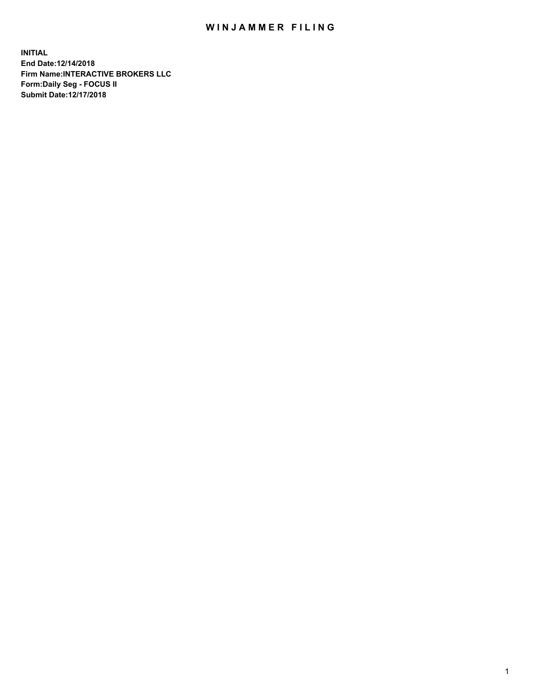## WIN JAMMER FILING

**INITIAL End Date:12/14/2018 Firm Name:INTERACTIVE BROKERS LLC Form:Daily Seg - FOCUS II Submit Date:12/17/2018**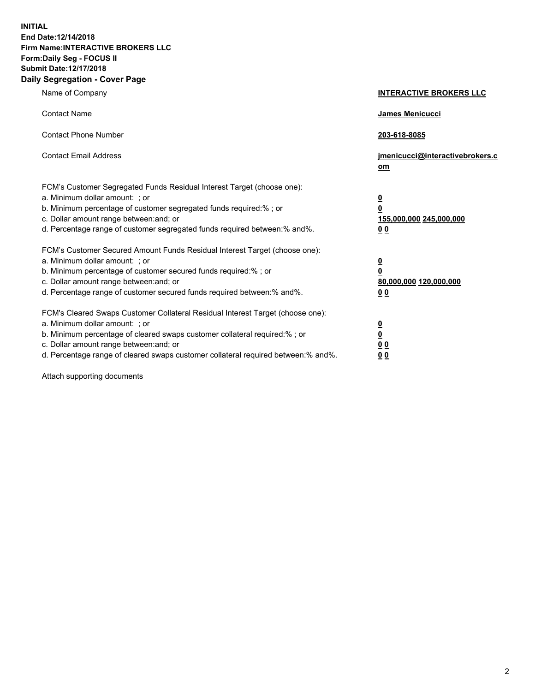**INITIAL End Date:12/14/2018 Firm Name:INTERACTIVE BROKERS LLC Form:Daily Seg - FOCUS II Submit Date:12/17/2018 Daily Segregation - Cover Page**

| Name of Company                                                                                                                                                                                                                                                                                                                | <b>INTERACTIVE BROKERS LLC</b>                                                                  |
|--------------------------------------------------------------------------------------------------------------------------------------------------------------------------------------------------------------------------------------------------------------------------------------------------------------------------------|-------------------------------------------------------------------------------------------------|
| <b>Contact Name</b>                                                                                                                                                                                                                                                                                                            | James Menicucci                                                                                 |
| <b>Contact Phone Number</b>                                                                                                                                                                                                                                                                                                    | 203-618-8085                                                                                    |
| <b>Contact Email Address</b>                                                                                                                                                                                                                                                                                                   | jmenicucci@interactivebrokers.c<br>om                                                           |
| FCM's Customer Segregated Funds Residual Interest Target (choose one):<br>a. Minimum dollar amount: ; or<br>b. Minimum percentage of customer segregated funds required:%; or<br>c. Dollar amount range between: and; or<br>d. Percentage range of customer segregated funds required between:% and%.                          | $\overline{\mathbf{0}}$<br>$\overline{\mathbf{0}}$<br>155,000,000 245,000,000<br>0 <sub>0</sub> |
| FCM's Customer Secured Amount Funds Residual Interest Target (choose one):<br>a. Minimum dollar amount: ; or<br>b. Minimum percentage of customer secured funds required:% ; or<br>c. Dollar amount range between: and; or<br>d. Percentage range of customer secured funds required between:% and%.                           | $\overline{\mathbf{0}}$<br>$\overline{\mathbf{0}}$<br>80,000,000 120,000,000<br>0 <sub>0</sub>  |
| FCM's Cleared Swaps Customer Collateral Residual Interest Target (choose one):<br>a. Minimum dollar amount: ; or<br>b. Minimum percentage of cleared swaps customer collateral required:% ; or<br>c. Dollar amount range between: and; or<br>d. Percentage range of cleared swaps customer collateral required between:% and%. | $\overline{\mathbf{0}}$<br>$\underline{\mathbf{0}}$<br>0 <sub>0</sub><br>0 <sub>0</sub>         |

Attach supporting documents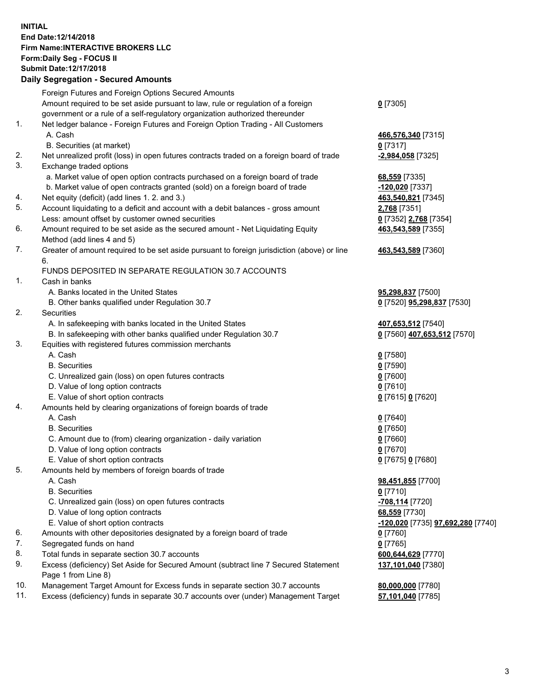## **INITIAL End Date:12/14/2018 Firm Name:INTERACTIVE BROKERS LLC Form:Daily Seg - FOCUS II Submit Date:12/17/2018**

|            | <b>Daily Segregation - Secured Amounts</b>                                                                                                                        |                                                 |
|------------|-------------------------------------------------------------------------------------------------------------------------------------------------------------------|-------------------------------------------------|
|            | Foreign Futures and Foreign Options Secured Amounts                                                                                                               |                                                 |
|            | Amount required to be set aside pursuant to law, rule or regulation of a foreign                                                                                  | $0$ [7305]                                      |
|            | government or a rule of a self-regulatory organization authorized thereunder                                                                                      |                                                 |
| 1.         | Net ledger balance - Foreign Futures and Foreign Option Trading - All Customers                                                                                   |                                                 |
|            | A. Cash                                                                                                                                                           | 466,576,340 [7315]                              |
|            | B. Securities (at market)                                                                                                                                         | $0$ [7317]                                      |
| 2.         | Net unrealized profit (loss) in open futures contracts traded on a foreign board of trade                                                                         | -2,984,058 [7325]                               |
| 3.         | Exchange traded options                                                                                                                                           |                                                 |
|            | a. Market value of open option contracts purchased on a foreign board of trade                                                                                    | 68,559 [7335]                                   |
|            | b. Market value of open contracts granted (sold) on a foreign board of trade                                                                                      | -120,020 [7337]                                 |
| 4.         | Net equity (deficit) (add lines 1.2. and 3.)                                                                                                                      | 463,540,821 [7345]                              |
| 5.         | Account liquidating to a deficit and account with a debit balances - gross amount                                                                                 | 2,768 [7351]                                    |
|            | Less: amount offset by customer owned securities                                                                                                                  | 0 [7352] 2,768 [7354]                           |
| 6.         | Amount required to be set aside as the secured amount - Net Liquidating Equity                                                                                    | 463,543,589 [7355]                              |
|            | Method (add lines 4 and 5)                                                                                                                                        |                                                 |
| 7.         | Greater of amount required to be set aside pursuant to foreign jurisdiction (above) or line                                                                       | 463,543,589 [7360]                              |
|            | 6.                                                                                                                                                                |                                                 |
|            | FUNDS DEPOSITED IN SEPARATE REGULATION 30.7 ACCOUNTS                                                                                                              |                                                 |
| 1.         | Cash in banks                                                                                                                                                     |                                                 |
|            | A. Banks located in the United States                                                                                                                             | 95,298,837 [7500]                               |
|            | B. Other banks qualified under Regulation 30.7                                                                                                                    | 0 [7520] 95,298,837 [7530]                      |
| 2.         | Securities                                                                                                                                                        |                                                 |
|            | A. In safekeeping with banks located in the United States                                                                                                         | 407,653,512 [7540]                              |
|            | B. In safekeeping with other banks qualified under Regulation 30.7                                                                                                | 0 [7560] 407,653,512 [7570]                     |
| 3.         | Equities with registered futures commission merchants                                                                                                             |                                                 |
|            | A. Cash                                                                                                                                                           | $0$ [7580]                                      |
|            | <b>B.</b> Securities                                                                                                                                              | $0$ [7590]                                      |
|            | C. Unrealized gain (loss) on open futures contracts                                                                                                               | $0$ [7600]                                      |
|            | D. Value of long option contracts                                                                                                                                 | $0$ [7610]                                      |
|            | E. Value of short option contracts                                                                                                                                | 0 [7615] 0 [7620]                               |
| 4.         | Amounts held by clearing organizations of foreign boards of trade                                                                                                 |                                                 |
|            | A. Cash                                                                                                                                                           | $0$ [7640]                                      |
|            | <b>B.</b> Securities                                                                                                                                              | $0$ [7650]                                      |
|            | C. Amount due to (from) clearing organization - daily variation                                                                                                   | $0$ [7660]                                      |
|            | D. Value of long option contracts                                                                                                                                 | $0$ [7670]                                      |
|            | E. Value of short option contracts                                                                                                                                | 0 [7675] 0 [7680]                               |
| 5.         | Amounts held by members of foreign boards of trade                                                                                                                |                                                 |
|            | A. Cash                                                                                                                                                           | 98,451,855 [7700]                               |
|            | <b>B.</b> Securities                                                                                                                                              | $0$ [7710]                                      |
|            | C. Unrealized gain (loss) on open futures contracts                                                                                                               | -708,114 [7720]                                 |
|            | D. Value of long option contracts                                                                                                                                 | 68,559 [7730]                                   |
|            | E. Value of short option contracts                                                                                                                                | <u>-120,020</u> [7735] <b>97,692,280</b> [7740] |
| 6.         | Amounts with other depositories designated by a foreign board of trade                                                                                            | $0$ [7760]                                      |
| 7.         | Segregated funds on hand                                                                                                                                          | $0$ [7765]                                      |
|            |                                                                                                                                                                   |                                                 |
|            |                                                                                                                                                                   |                                                 |
|            |                                                                                                                                                                   |                                                 |
|            |                                                                                                                                                                   |                                                 |
|            |                                                                                                                                                                   |                                                 |
| 8.<br>9.   | Total funds in separate section 30.7 accounts<br>Excess (deficiency) Set Aside for Secured Amount (subtract line 7 Secured Statement<br>Page 1 from Line 8)       | 600,644,629 [7770]<br>137,101,040 [7380]        |
| 10.<br>11. | Management Target Amount for Excess funds in separate section 30.7 accounts<br>Excess (deficiency) funds in separate 30.7 accounts over (under) Management Target | 80,000,000 [7780]<br>57,101,040 [7785]          |
|            |                                                                                                                                                                   |                                                 |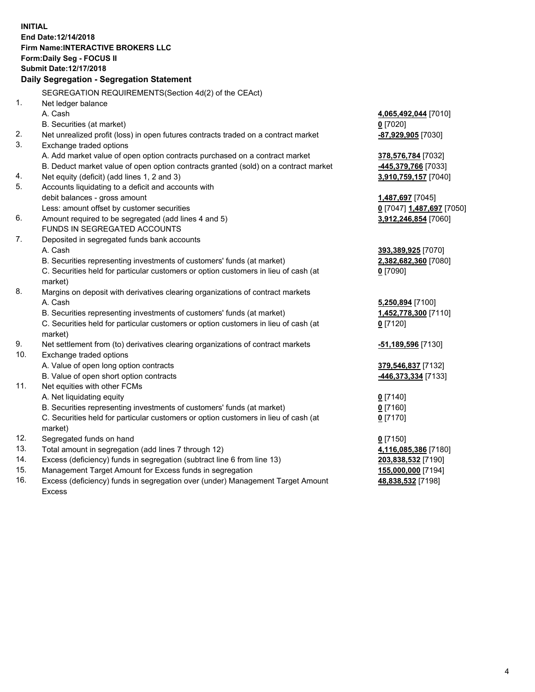**INITIAL End Date:12/14/2018 Firm Name:INTERACTIVE BROKERS LLC Form:Daily Seg - FOCUS II Submit Date:12/17/2018 Daily Segregation - Segregation Statement** SEGREGATION REQUIREMENTS(Section 4d(2) of the CEAct) 1. Net ledger balance A. Cash **4,065,492,044** [7010] B. Securities (at market) **0** [7020] 2. Net unrealized profit (loss) in open futures contracts traded on a contract market **-87,929,905** [7030] 3. Exchange traded options A. Add market value of open option contracts purchased on a contract market **378,576,784** [7032] B. Deduct market value of open option contracts granted (sold) on a contract market **-445,379,766** [7033] 4. Net equity (deficit) (add lines 1, 2 and 3) **3,910,759,157** [7040] 5. Accounts liquidating to a deficit and accounts with debit balances - gross amount **1,487,697** [7045] Less: amount offset by customer securities **0** [7047] **1,487,697** [7050] 6. Amount required to be segregated (add lines 4 and 5) **3,912,246,854** [7060] FUNDS IN SEGREGATED ACCOUNTS 7. Deposited in segregated funds bank accounts A. Cash **393,389,925** [7070] B. Securities representing investments of customers' funds (at market) **2,382,682,360** [7080] C. Securities held for particular customers or option customers in lieu of cash (at market) **0** [7090] 8. Margins on deposit with derivatives clearing organizations of contract markets A. Cash **5,250,894** [7100] B. Securities representing investments of customers' funds (at market) **1,452,778,300** [7110] C. Securities held for particular customers or option customers in lieu of cash (at market) **0** [7120] 9. Net settlement from (to) derivatives clearing organizations of contract markets **-51,189,596** [7130] 10. Exchange traded options A. Value of open long option contracts **379,546,837** [7132] B. Value of open short option contracts **-446,373,334** [7133] 11. Net equities with other FCMs A. Net liquidating equity **0** [7140] B. Securities representing investments of customers' funds (at market) **0** [7160] C. Securities held for particular customers or option customers in lieu of cash (at market) **0** [7170] 12. Segregated funds on hand **0** [7150] 13. Total amount in segregation (add lines 7 through 12) **4,116,085,386** [7180] 14. Excess (deficiency) funds in segregation (subtract line 6 from line 13) **203,838,532** [7190] 15. Management Target Amount for Excess funds in segregation **155,000,000** [7194]

16. Excess (deficiency) funds in segregation over (under) Management Target Amount Excess

**48,838,532** [7198]